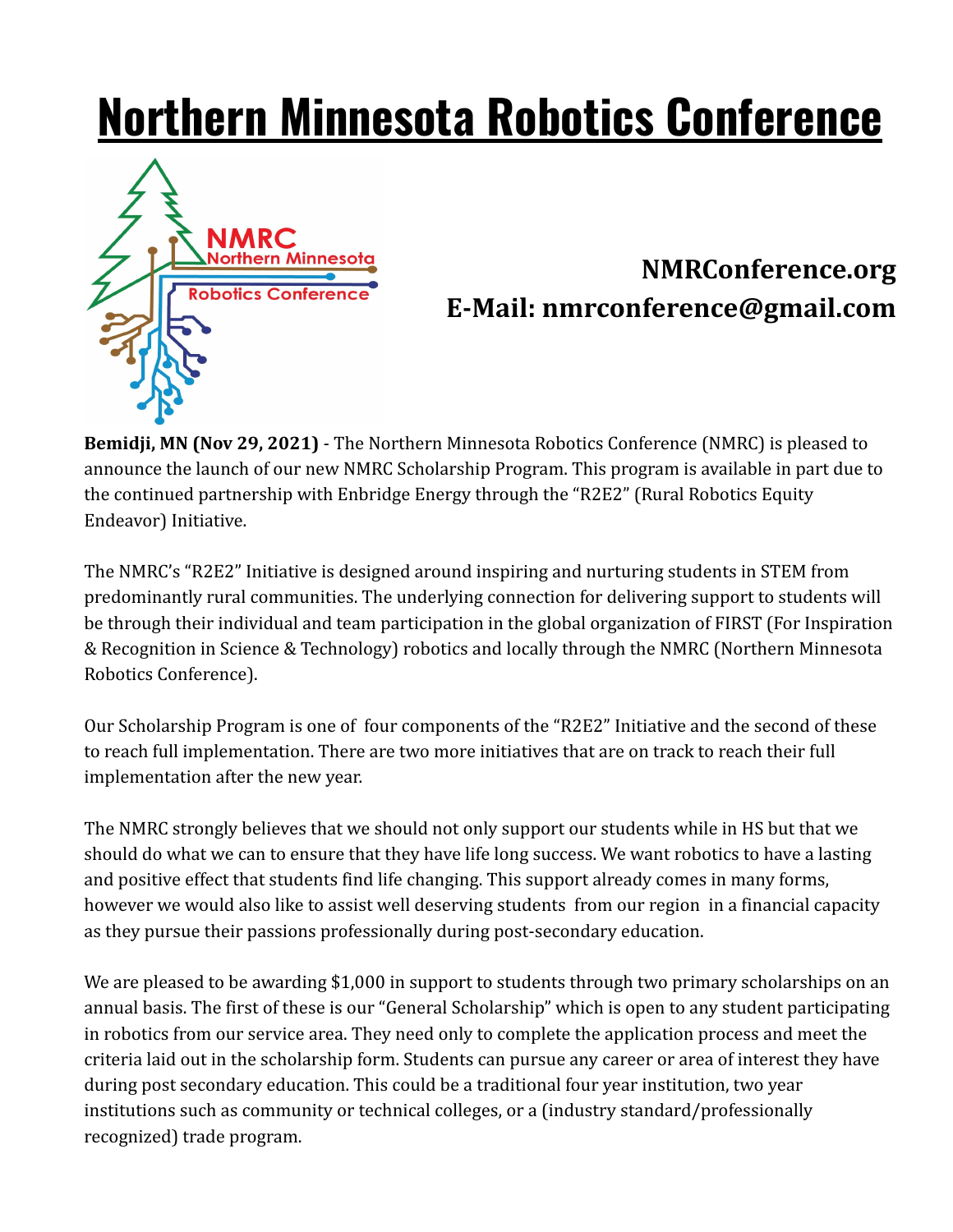## **Northern Minnesota Robotics Conference**



## **NMRConference.org E-Mail: nmrconference@gmail.com**

**Bemidji, MN (Nov 29, 2021)** - The Northern Minnesota Robotics Conference (NMRC) is pleased to announce the launch of our new NMRC Scholarship Program. This program is available in part due to the continued partnership with Enbridge Energy through the "R2E2" (Rural Robotics Equity Endeavor) Initiative.

The NMRC's "R2E2" Initiative is designed around inspiring and nurturing students in STEM from predominantly rural communities. The underlying connection for delivering support to students will be through their individual and team participation in the global organization of FIRST (For Inspiration & Recognition in Science & Technology) robotics and locally through the NMRC (Northern Minnesota Robotics Conference).

Our Scholarship Program is one of four components of the "R2E2" Initiative and the second of these to reach full implementation. There are two more initiatives that are on track to reach their full implementation after the new year.

The NMRC strongly believes that we should not only support our students while in HS but that we should do what we can to ensure that they have life long success. We want robotics to have a lasting and positive effect that students find life changing. This support already comes in many forms, however we would also like to assist well deserving students from our region in a financial capacity as they pursue their passions professionally during post-secondary education.

We are pleased to be awarding \$1,000 in support to students through two primary scholarships on an annual basis. The first of these is our "General Scholarship" which is open to any student participating in robotics from our service area. They need only to complete the application process and meet the criteria laid out in the scholarship form. Students can pursue any career or area of interest they have during post secondary education. This could be a traditional four year institution, two year institutions such as community or technical colleges, or a (industry standard/professionally recognized) trade program.